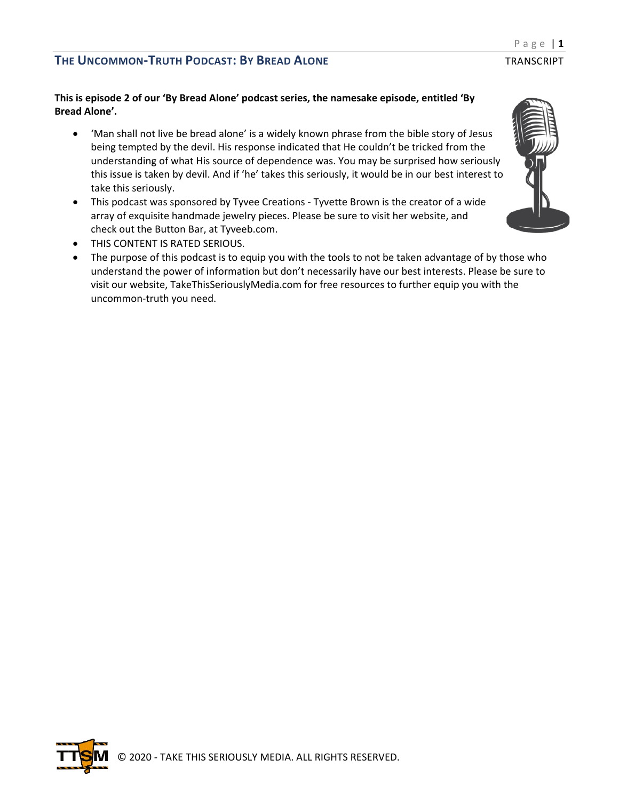## **This is episode 2 of our 'By Bread Alone' podcast series, the namesake episode, entitled 'By Bread Alone'.**

- 'Man shall not live be bread alone' is a widely known phrase from the bible story of Jesus being tempted by the devil. His response indicated that He couldn't be tricked from the understanding of what His source of dependence was. You may be surprised how seriously this issue is taken by devil. And if 'he' takes this seriously, it would be in our best interest to take this seriously.
- This podcast was sponsored by Tyvee Creations Tyvette Brown is the creator of a wide array of exquisite handmade jewelry pieces. Please be sure to visit her website, and check out the Button Bar, at Tyveeb.com.
- THIS CONTENT IS RATED SERIOUS.
- The purpose of this podcast is to equip you with the tools to not be taken advantage of by those who understand the power of information but don't necessarily have our best interests. Please be sure to visit our website, TakeThisSeriouslyMedia.com for free resources to further equip you with the uncommon-truth you need.



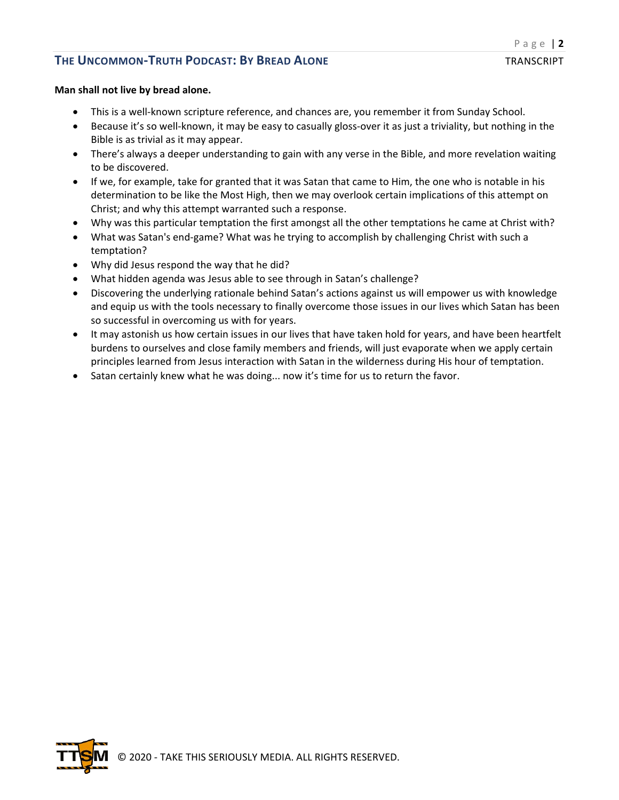#### **Man shall not live by bread alone.**

- This is a well-known scripture reference, and chances are, you remember it from Sunday School.
- Because it's so well-known, it may be easy to casually gloss-over it as just a triviality, but nothing in the Bible is as trivial as it may appear.
- There's always a deeper understanding to gain with any verse in the Bible, and more revelation waiting to be discovered.
- If we, for example, take for granted that it was Satan that came to Him, the one who is notable in his determination to be like the Most High, then we may overlook certain implications of this attempt on Christ; and why this attempt warranted such a response.
- Why was this particular temptation the first amongst all the other temptations he came at Christ with?
- What was Satan's end-game? What was he trying to accomplish by challenging Christ with such a temptation?
- Why did Jesus respond the way that he did?
- What hidden agenda was Jesus able to see through in Satan's challenge?
- Discovering the underlying rationale behind Satan's actions against us will empower us with knowledge and equip us with the tools necessary to finally overcome those issues in our lives which Satan has been so successful in overcoming us with for years.
- It may astonish us how certain issues in our lives that have taken hold for years, and have been heartfelt burdens to ourselves and close family members and friends, will just evaporate when we apply certain principles learned from Jesus interaction with Satan in the wilderness during His hour of temptation.
- Satan certainly knew what he was doing... now it's time for us to return the favor.

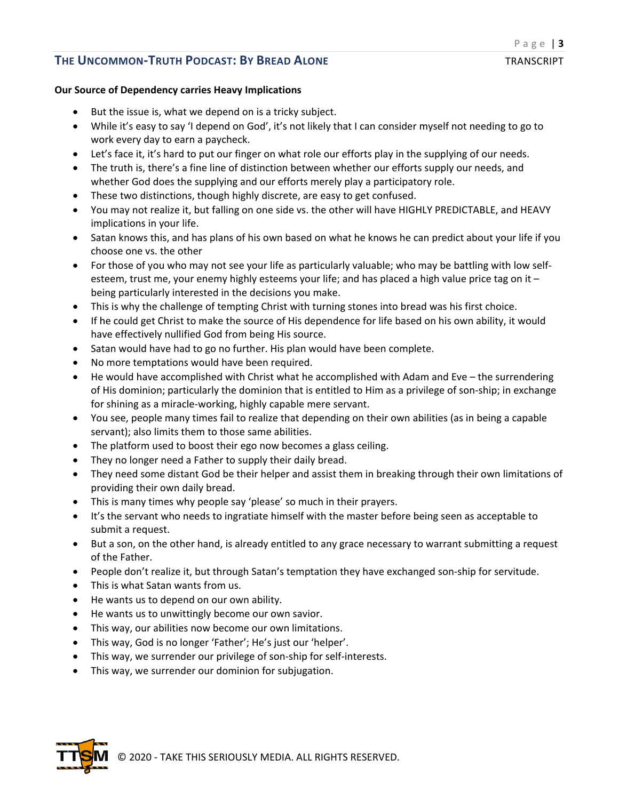#### **Our Source of Dependency carries Heavy Implications**

- But the issue is, what we depend on is a tricky subject.
- While it's easy to say 'I depend on God', it's not likely that I can consider myself not needing to go to work every day to earn a paycheck.
- Let's face it, it's hard to put our finger on what role our efforts play in the supplying of our needs.
- The truth is, there's a fine line of distinction between whether our efforts supply our needs, and whether God does the supplying and our efforts merely play a participatory role.
- These two distinctions, though highly discrete, are easy to get confused.
- You may not realize it, but falling on one side vs. the other will have HIGHLY PREDICTABLE, and HEAVY implications in your life.
- Satan knows this, and has plans of his own based on what he knows he can predict about your life if you choose one vs. the other
- For those of you who may not see your life as particularly valuable; who may be battling with low selfesteem, trust me, your enemy highly esteems your life; and has placed a high value price tag on it – being particularly interested in the decisions you make.
- This is why the challenge of tempting Christ with turning stones into bread was his first choice.
- If he could get Christ to make the source of His dependence for life based on his own ability, it would have effectively nullified God from being His source.
- Satan would have had to go no further. His plan would have been complete.
- No more temptations would have been required.
- He would have accomplished with Christ what he accomplished with Adam and Eve the surrendering of His dominion; particularly the dominion that is entitled to Him as a privilege of son-ship; in exchange for shining as a miracle-working, highly capable mere servant.
- You see, people many times fail to realize that depending on their own abilities (as in being a capable servant); also limits them to those same abilities.
- The platform used to boost their ego now becomes a glass ceiling.
- They no longer need a Father to supply their daily bread.
- They need some distant God be their helper and assist them in breaking through their own limitations of providing their own daily bread.
- This is many times why people say 'please' so much in their prayers.
- It's the servant who needs to ingratiate himself with the master before being seen as acceptable to submit a request.
- But a son, on the other hand, is already entitled to any grace necessary to warrant submitting a request of the Father.
- People don't realize it, but through Satan's temptation they have exchanged son-ship for servitude.
- This is what Satan wants from us.
- He wants us to depend on our own ability.
- He wants us to unwittingly become our own savior.
- This way, our abilities now become our own limitations.
- This way, God is no longer 'Father'; He's just our 'helper'.
- This way, we surrender our privilege of son-ship for self-interests.
- This way, we surrender our dominion for subjugation.

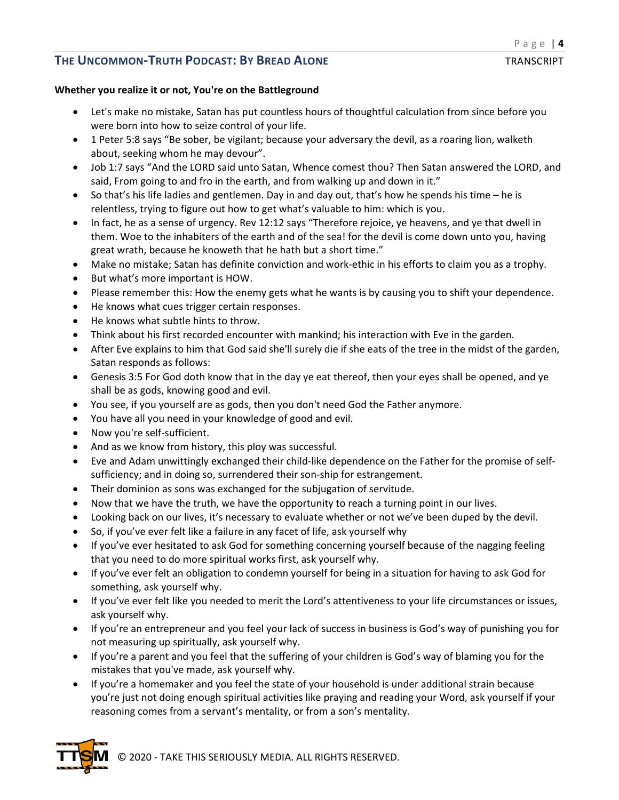### **Whether you realize it or not, You're on the Battleground**

- Let's make no mistake, Satan has put countless hours of thoughtful calculation from since before you were born into how to seize control of your life.
- 1 Peter 5:8 says "Be sober, be vigilant; because your adversary the devil, as a roaring lion, walketh about, seeking whom he may devour".
- Job 1:7 says "And the LORD said unto Satan, Whence comest thou? Then Satan answered the LORD, and said, From going to and fro in the earth, and from walking up and down in it."
- So that's his life ladies and gentlemen. Day in and day out, that's how he spends his time he is relentless, trying to figure out how to get what's valuable to him: which is you.
- In fact, he as a sense of urgency. Rev 12:12 says "Therefore rejoice, ye heavens, and ye that dwell in them. Woe to the inhabiters of the earth and of the sea! for the devil is come down unto you, having great wrath, because he knoweth that he hath but a short time."
- Make no mistake; Satan has definite conviction and work-ethic in his efforts to claim you as a trophy.
- But what's more important is HOW.
- Please remember this: How the enemy gets what he wants is by causing you to shift your dependence.
- He knows what cues trigger certain responses.
- He knows what subtle hints to throw.
- Think about his first recorded encounter with mankind; his interaction with Eve in the garden.
- After Eve explains to him that God said she'll surely die if she eats of the tree in the midst of the garden, Satan responds as follows:
- Genesis 3:5 For God doth know that in the day ye eat thereof, then your eyes shall be opened, and ye shall be as gods, knowing good and evil.
- You see, if you yourself are as gods, then you don't need God the Father anymore.
- You have all you need in your knowledge of good and evil.
- Now you're self-sufficient.
- And as we know from history, this ploy was successful.
- Eve and Adam unwittingly exchanged their child-like dependence on the Father for the promise of selfsufficiency; and in doing so, surrendered their son-ship for estrangement.
- Their dominion as sons was exchanged for the subjugation of servitude.
- Now that we have the truth, we have the opportunity to reach a turning point in our lives.
- Looking back on our lives, it's necessary to evaluate whether or not we've been duped by the devil.
- So, if you've ever felt like a failure in any facet of life, ask yourself why
- If you've ever hesitated to ask God for something concerning yourself because of the nagging feeling that you need to do more spiritual works first, ask yourself why.
- If you've ever felt an obligation to condemn yourself for being in a situation for having to ask God for something, ask yourself why.
- If you've ever felt like you needed to merit the Lord's attentiveness to your life circumstances or issues, ask yourself why.
- If you're an entrepreneur and you feel your lack of success in business is God's way of punishing you for not measuring up spiritually, ask yourself why.
- If you're a parent and you feel that the suffering of your children is God's way of blaming you for the mistakes that you've made, ask yourself why.
- If you're a homemaker and you feel the state of your household is under additional strain because you're just not doing enough spiritual activities like praying and reading your Word, ask yourself if your reasoning comes from a servant's mentality, or from a son's mentality.

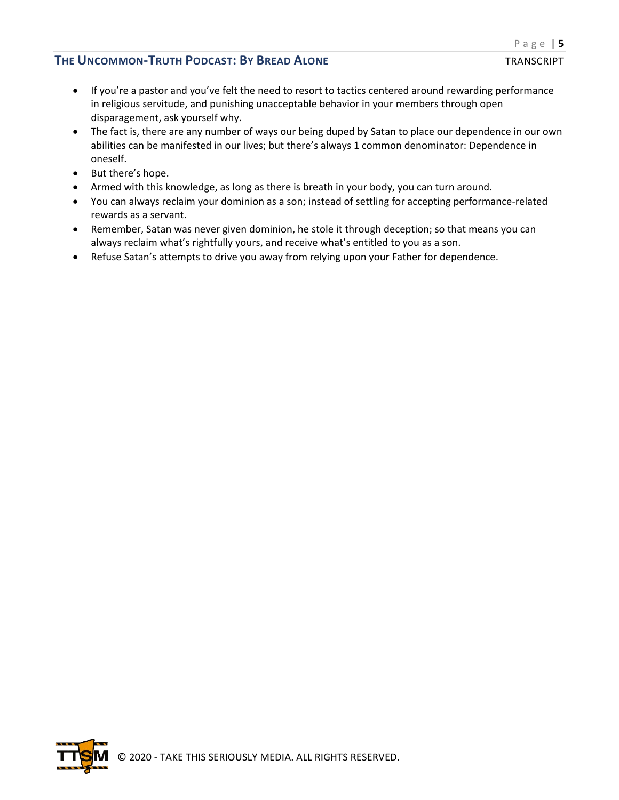- If you're a pastor and you've felt the need to resort to tactics centered around rewarding performance in religious servitude, and punishing unacceptable behavior in your members through open disparagement, ask yourself why.
- The fact is, there are any number of ways our being duped by Satan to place our dependence in our own abilities can be manifested in our lives; but there's always 1 common denominator: Dependence in oneself.
- But there's hope.
- Armed with this knowledge, as long as there is breath in your body, you can turn around.
- You can always reclaim your dominion as a son; instead of settling for accepting performance-related rewards as a servant.
- Remember, Satan was never given dominion, he stole it through deception; so that means you can always reclaim what's rightfully yours, and receive what's entitled to you as a son.
- Refuse Satan's attempts to drive you away from relying upon your Father for dependence.